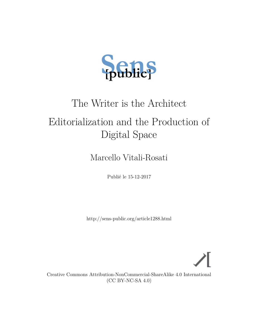

# The Writer is the Architect

# Editorialization and the Production of Digital Space

Marcello Vitali-Rosati

Publié le 15-12-2017

<http://sens-public.org/article1288.html>



Creative Commons Attribution-NonCommercial-ShareAlike 4.0 International (CC BY-NC-SA 4.0)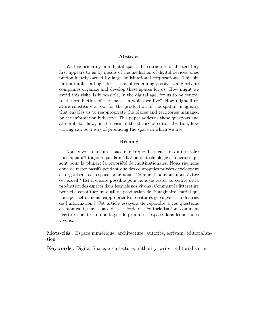#### **Abstract**

We live primarily in a digital space. The structure of the territory first appears to us by means of the mediation of digital devices, ones predominately owned by large multinational corporations. This situation implies a huge risk – that of remaining passive while private companies organize and develop these spaces for us. How might we avoid this risk? Is it possible, in the digital age, for us to be central to the production of the spaces in which we live? How might literature constitute a tool for the production of the spatial imaginary that enables us to reappropriate the places and territories managed by the information industry? This paper addesses these questions and attempts to show, on the basis of the theory of editorialization, how writing can be a way of producing the space in which we live.

#### **Résumé**

Nous vivons dans un espace numérique. La structure du territoire nous apparaît toujours par la médiation de technologies numériqes qui sont pour la plupart la propriété de multinationales. Nous risquons donc de rester passifs pendant que des compagnies privées développent et organisent cet espace pour nous. Comment pouvons-nous éviter cet écueil ? Est-il encore possible pour nous de rester au centre de la production des espaces dans lesquels nos vivons ?Comment la littérature peut-elle constituer un outil de production de l'imaginaire spatial qui nous permet de nous réapproprier les territoires gérés par les industries de l'information ? Cet article essayera de répondre à ces questions en montrant, sur la base de la théorie de l'éditorialisation, comment l'écriture peut être une façon de produire l'espace dans lequel nous vivons.

**Mots-clés** : Espace numérique, architecture, autorité, écrivain, éditorialisation

**Keywords** : Digital Space, architecture, authority, writer, editorialization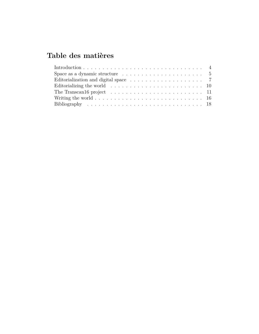## **Table des matières**

| Space as a dynamic structure $\dots \dots \dots \dots \dots \dots \dots \dots \dots$       |  |
|--------------------------------------------------------------------------------------------|--|
| Editorialization and digital space $\dots \dots \dots \dots \dots \dots \dots$ 7           |  |
|                                                                                            |  |
| The Transcan16 project $\ldots \ldots \ldots \ldots \ldots \ldots \ldots \ldots \ldots 11$ |  |
|                                                                                            |  |
|                                                                                            |  |
|                                                                                            |  |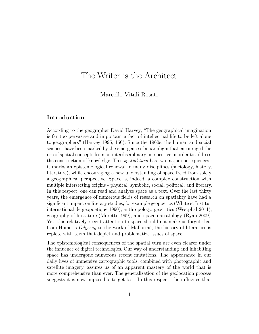## The Writer is the Architect

#### Marcello Vitali-Rosati

#### <span id="page-3-0"></span>**Introduction**

According to the geographer David Harvey, "The geographical imagination is far too pervasive and important a fact of intellectual life to be left alone to geographers" (Harvey [1995,](#page-18-0) 160). Since the 1960s, the human and social sciences have been marked by the emergence of a paradigm that encouraged the use of spatial concepts from an interdisciplinary perspective in order to address the construction of knowledge. This *spatial turn* has two major consequences : it marks an epistemological renewal in many disciplines (sociology, history, literature), while encouraging a new understanding of space freed from solely a geographical perspective. Space is, indeed, a complex construction with multiple intersecting origins - physical, symbolic, social, political, and literary. In this respect, one can read and analyze space as a text. Over the last thirty years, the emergence of numerous fields of research on spatiality have had a significant impact on literary studies, for example geopoetics (White et Institut international de géopoétique [1990\)](#page-19-0), anthropology, geocritics (Westphal [2011\)](#page-19-1), geography of literature (Moretti [1999\)](#page-18-1), and space narratology (Ryan [2009\)](#page-19-2). Yet, this relatively recent attention to space should not make us forget that from Homer's *Odyssey* to the work of Mallarmé, the history of literature is replete with texts that depict and problematize issues of space.

The epistemological consequences of the spatial turn are even clearer under the influence of digital technologies. Our way of understanding and inhabiting space has undergone numerous recent mutations. The appearance in our daily lives of immersive cartographic tools, combined with photographic and satellite imagery, assures us of an apparent mastery of the world that is more comprehensive than ever. The generalization of the geolocation process suggests it is now impossible to get lost. In this respect, the influence that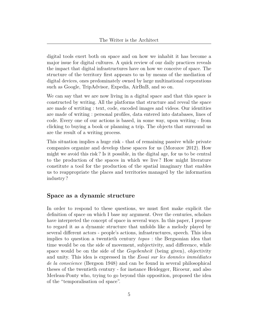digital tools exert both on space and on how we inhabit it has become a major issue for digital cultures. A quick review of our daily practices reveals the impact that digital infrastructures have on how we conceive of space. The structure of the territory first appears to us by means of the mediation of digital devices, ones predominately owned by large multinational corporations such as Google, TripAdvisor, Expedia, AirBnB, and so on.

We can say that we are now living in a digital space and that this space is constructed by writing. All the platforms that structure and reveal the space are made of wrtiting : text, code, encoded images and videos. Our identities are made of writing : personal profiles, data entered into databases, lines of code. Every one of our actions is based, in some way, upon writing - from clicking to buying a book or planning a trip. The objects that surround us are the result of a writing process.

This situation implies a huge risk - that of remaining passive while private companies organize and develop these spaces for us (Morozov [2012\)](#page-18-2). How might we avoid this risk ? Is it possible, in the digital age, for us to be central to the production of the spaces in which we live ? How might literature constitute a tool for the production of the spatial imaginary that enables us to reappropriate the places and territories managed by the information industry ?

#### <span id="page-4-0"></span>**Space as a dynamic structure**

In order to respond to these questions, we must first make explicit the definition of space on which I base my argument. Over the centuries, scholars have interpreted the concept of space in several ways. In this paper, I propose to regard it as a dynamic structure that unfolds like a melody played by several different actors - people's actions, infrastructures, speech. This idea implies to question a twentieth century *topos* : the Bergsonian idea that time would be on the side of movement, subjectivity, and difference, while space would be on the side of the *Gegebenheit* (being given), objectivity and unity. This idea is expressed in the *Essai sur les données immédiates de la conscience* (Bergson [1948\)](#page-17-1) and can be found in several philosophical theses of the twentieth century - for instance Heidegger, Ricoeur, and also Merleau-Ponty who, trying to go beyond this opposition, proposed the idea of the "temporalisation od space".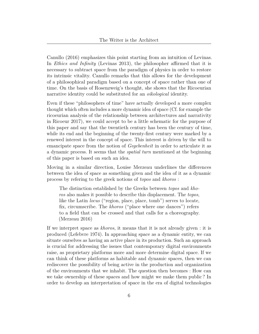Canullo [\(2016\)](#page-17-2) emphasizes this point starting from an intuition of Levinas. In *Ethics and Infinity* (Levinas [2013\)](#page-18-3), the philosopher affirmed that it is necessary to subtract space from the paradigm of physics in order to restore its intrinsic vitality. Canullo remarks that this allows for the development of a philosophical paradigm based on a concept of space rather than one of time. On the basis of Rosenzweig's thought, she shows that the Ricoeurian narrative identity could be substituted for an *oikological* identity.

Even if these "philosophers of time" have actually developed a more complex thought which often includes a more dynamic idea of space (Cf. for example the ricoeurian analysis of the relationship between architectures and narrativity in Ricoeur [2017\)](#page-19-3), we could accept to be a little schematic for the purpose of this paper and say that the twentieth century has been the century of time, while its end and the beginning of the twenty-first century were marked by a renewed interest in the concept of space. This interest is driven by the will to emancipate space from the notion of *Gegebenheit* in order to articulate it as a dynamic process. It seems that the *spatial turn* mentioned at the beginning of this paper is based on such an idea.

Moving in a similar direction, Louise Merzeau underlines the differences between the idea of space as something given and the idea of it as a dynamic process by refering to the greek notions of *topos* and *khoros* :

The distinction established by the Greeks between *topos* and *khoros* also makes it possible to describe this displacement. The *topos*, like the Latin *locus* ("region, place, place, tomb") serves to locate, fix, circumscribe. The *khoros* ("place where one dances") refers to a field that can be crossed and that calls for a choreography. (Merzeau [2016\)](#page-18-4)

If we interpret space as *khoros*, it means that it is not already given : it is produced (Lefebvre [1974\)](#page-18-5). In approaching space as a dynamic entity, we can situate ourselves as having an active place in its production. Such an approach is crucial for addressing the issues that contemporary digital environments raise, as proprietary platforms more and more determine digital space. If we can think of these platforms as habitable and dynamic spaces, then we can rediscover the possibility of being active in the production and organization of the environments that we inhabit. The question then becomes : How can we take ownership of these spaces and how might we make them public ? In order to develop an interpretation of space in the era of digital technologies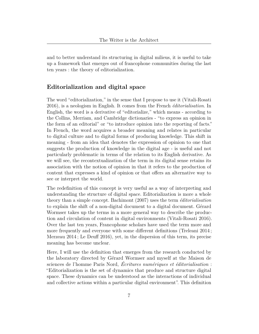and to better understand its structuring in digital milieus, it is useful to take up a framework that emerges out of francophone communities during the last ten years : the theory of editorialization.

#### <span id="page-6-0"></span>**Editorialization and digital space**

The word "editorialization," in the sense that I propose to use it (Vitali-Rosati [2016\)](#page-19-4), is a neologism in English. It comes from the French *éditorialisation*. In English, the word is a derivative of "editorialize," which means - according to the Collins, Merriam, and Cambridge dictionaries - "to express an opinion in the form of an editorial" or "to introduce opinion into the reporting of facts." In French, the word acquires a broader meaning and relates in particular to digital culture and to digital forms of producing knowledge. This shift in meaning - from an idea that denotes the expression of opinion to one that suggests the production of knowledge in the digital age - is useful and not particularly problematic in terms of the relation to its English derivative. As we will see, the recontextualization of the term in its digital sense retains its association with the notion of opinion in that it refers to the production of content that expresses a kind of opinion or that offers an alternative way to see or interpret the world.

The redefinition of this concept is very useful as a way of interpreting and understanding the structure of digital space. Editorialization is more a whole theory than a simple concept. Bachimont [\(2007\)](#page-17-3) uses the term *éditorialisation* to explain the shift of a non-digital document to a digital document. Gérard Wormser takes up the terms in a more general way to describe the production and circulation of content in digital environments (Vitali-Rosati [2016\)](#page-19-4). Over the last ten years, Francophone scholars have used the term more and more frequently and everyone with some different definitions (Treleani [2014](#page-19-5); Merzeau  $2014$ ; Le Deuff  $2016$ , yet, in the dispersion of this term, its precise meaning has become unclear.

Here, I will use the definition that emerges from the research conducted by the laboratory directed by Gérard Wormser and myself at the Maison de sciences de l'homme Paris Nord, *Écritures numériques et éditorialisation* : "Editorialization is the set of dynamics that produce and structure digital space. These dynamics can be understood as the interactions of individual and collective actions within a particular digital environment". This definition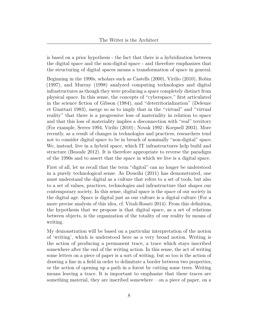is based on a prior hypothesis - the fact that there is a hybridization between the digital space and the non-digital space - and therefore emphasizes that the structuring of digital spaces means a transformation of space in general.

Beginning in the 1990s, scholars such as Castells [\(2000\)](#page-17-4), Virilio [\(2010\)](#page-19-6), Robin [\(1997\)](#page-19-7), and Murray [\(1998\)](#page-18-8) analyzed computing technologies and digital infrastructures as though they were producing a space completely distinct from physical space. In this sense, the concepts of "cyberspace," first articulated in the science fiction of Gibson [\(1984\)](#page-18-9), and "deterritorialization" (Deleuze et Guattari [1983\)](#page-17-5), merge so as to imply that in the "virtual" and "virtual reality" that there is a progressive loss of materiality in relation to space and that this loss of materiality implies a disconnection with "real" territory (For example, Serres [1994,](#page-19-8) Virilio [\(2010\)](#page-19-6) ; Novak [1992](#page-18-10) ; Koepsell [2003\)](#page-18-11). More recently, as a result of changes in technologies and practices, researchers tend not to consider digital space to be in breach of nominally "non-digital" space. We, instead, live in a hybrid space, which IT infrastructures help build and structure (Beaude [2012\)](#page-17-6). It is therefore appropriate to reverse the paradigm of the 1990s and to assert that the space in which we live is a digital space.

First of all, let us recall that the term "digital" can no longer be understood in a purely technological sense. As Doueihi [\(2011\)](#page-17-7) has demonstrated, one must understand the digital as a culture that refers to a set of tools, but also to a set of values, practices, technologies and infrastructure that shapes our contemporary society. In this sense, digital space is the space of our society in the digital age. Space is digital just as our culture is a digital culture (For a more precise analysis of this idea, cf. Vitali-Rosati [2014\)](#page-19-9). From this definition, the hypothesis that we propose is that digital space, as a set of relations between objects, is the organization of the totality of our reality by means of writing.

My demonstration will be based on a particular interpretation of the notion of 'writing', which is understood here as a very broad notion. Writing is the action of producing a permanent trace, a trace which stays inscribed somewhere after the end of the writing action. In this sense, the act of writing some letters on a piece of paper is a sort of writing, but so too is the action of drawing a line in a field in order to delimitate a border between two properties, or the action of opening up a path in a forest by cutting some trees. Writing means leaving a trace. It is important to emphasize that these traces are something material, they are inscribed somewhere – on a piece of paper, on a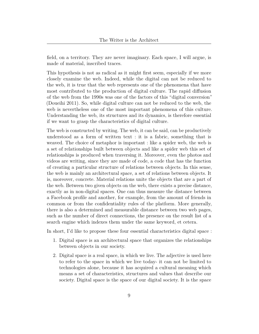field, on a territory. They are never imaginary. Each space, I will argue, is made of material, inscribed traces.

This hypothesis is not as radical as it might first seem, especially if we more closely examine the web. Indeed, while the digital can not be reduced to the web, it is true that the web represents one of the phenomena that have most contributed to the production of digital culture. The rapid diffusion of the web from the 1990s was one of the factors of this "digital conversion" (Doueihi [2011\)](#page-17-7). So, while digital culture can not be reduced to the web, the web is nevertheless one of the most important phenomena of this culture. Understanding the web, its structures and its dynamics, is therefore essential if we want to grasp the characteristics of digital culture.

The web is constructed by writing. The web, it can be said, can be productively understood as a form of written text : it is a fabric, something that is weaved. The choice of metaphor is important : like a spider web, the web is a set of relationships built between objects and like a spider web this set of relationships is produced when traversing it. Moreover, even the photos and videos are writing, since they are made of code, a code that has the function of creating a particular structure of relations between objects. In this sense, the web is mainly an architectural space, a set of relations between objects. It is, moreover, concrete. Material relations unite the objects that are a part of the web. Between two given objects on the web, there exists a precise distance, exactly as in non-digital spaces. One can thus measure the distance between a Facebook profile and another, for example, from the amount of friends in common or from the confidentiality rules of the platform. More generally, there is also a determined and measurable distance between two web pages, such as the number of direct connections, the presence on the result list of a search engine which indexes them under the same keyword, et cetera.

In short, I'd like to propose these four essential characteristics digital space :

- 1. Digital space is an architectural space that organizes the relationships between objects in our society.
- 2. Digital space is a real space, in which we live. The adjective is used here to refer to the space in which we live today- it can not be limited to technologies alone, because it has acquired a cultural meaning which means a set of characteristics, structures and values that describe our society. Digital space is the space of our digital society. It is the space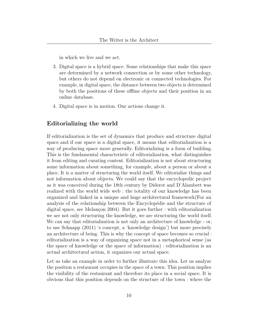in which we live and we act.

- 3. Digital space is a hybrid space. Some relationships that make this space are determined by a network connection or by some other technology, but others do not depend on electronic or connected technologies. For example, in digital space, the distance between two objects is determined by both the positions of these offline objects and their position in an online database.
- 4. Digital space is in motion. Our actions change it.

#### <span id="page-9-0"></span>**Editorializing the world**

If editorialization is the set of dynamics that produce and structure digital space and if our space is a digital space, it means that editorialization is a way of producing space more generally. Editorializing is a form of building. This is the fundamental characteristic of editorialization, what distinguishes it from editing and curating content. Editorialization is not about structuring some information about something, for example, about a person or about a place. It is a matter of structuring the world itself. We editorialize things and not information about objects. We could say that the encyclopedic project as it was conceived during the 18th century by Diderot and D'Alambert was realized with the world wide web : the totality of our knowledge has been organized and linked in a unique and huge architectural framework(For an analysis of the relationship between the Encyclopédie and the structure of digital space, see Melançon [2004\)](#page-18-12). But it goes further : with editorialization we are not only structuring the knowledge, we are structuring the world itself. We can say that editorialization is not only an architecture of knowledge - or, to use Schnapp [\(2011\)](#page-19-10) 's concept, a 'knowledge design') but more precisely an architecture of being. This is why the concept of space becomes so crucial : editorialization is a way of organizing space not in a metaphorical sense (as the space of knowledge or the space of information) : editorialization is an actual architectural action, it organizes our actual space.

Let us take an example in order to further illustrate this idea. Let us analyze the position a restaurant occupies in the space of a town. This position implies the visibility of the restaurant and therefore its place in a social space. It is obvious that this position depends on the structure of the town : where the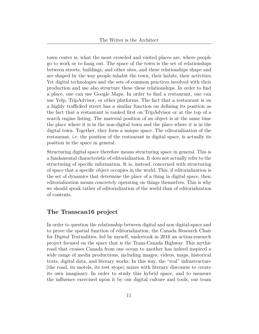town center is, what the most crowded and visited places are, where people go to work or to hang out. The space of the town is the set of relationships between streets, buildings, and other sites, and these relationships shape and are shaped by the way people inhabit the town, their habits, their activities. Yet digital technologies and the sets of common practices involved with their production and use also structure these these relationships. In order to find a place, one can use Google Maps. In order to find a restaurant, one can use Yelp, TripAdvisor, or other platforms. The fact that a restaurant is on a highly trafficked street has a similar function on defining its position as the fact that a restaurant is ranked first on TripAdvisor or at the top of a search engine listing. The material position of an object is at the same time the place where it is in the non-digital town and the place where it is in the digital town. Together, they form a unique space. The editorialization of the restaurant, i.e. the position of the restaurant in digital space, is actually its position in the space in general.

Structuring digital space therefore means structuring space in general. This is a fundamental characteristic of editorialization. It does not actually refer to the structuring of specific information. It is, instead, concerned with structuring of space that a specific object occupies in the world. This, if editorialization is the set of dynamics that determine the place of a thing in digital space, then, editorialization means concretely operating on things themselves. This is why we should speak rather of editorialization of the world than of editorialization of contents.

### <span id="page-10-0"></span>**The Transcan16 project**

In order to question the relationship between digital and non digital-space and to prove the spatial function of editorialization, the Canada Research Chair for Digital Textualities, led by myself, undertook in 2016 an action-research project focused on the space that is the Trans-Canada Highway. This mythic road that crosses Canada from one ocean to another has indeed inspired a wide range of media productions, including images, videos, maps, historical texts, digital data, and literary works. In this way, the "real" infrastructure (the road, its motels, its rest stops) mixes with literary discourse to create its own imaginary. In order to study this hybrid space, and to measure the influence exercised upon it by our digital culture and tools, our team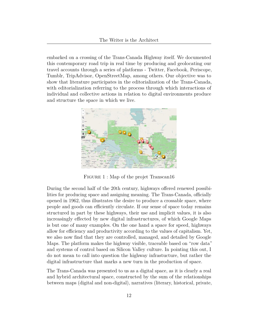embarked on a crossing of the Trans-Canada Highway itself. We documented this contemporary road trip in real time by producing and geolocating our travel accounts through a series of platforms - Twitter, Facebook, Periscope, Tumblr, TripAdvisor, OpenStreetMap, among others. Our objective was to show that literature participates in the editorialization of the Trans-Canada, with editorialization referring to the process through which interactions of individual and collective actions in relation to digital environments produce and structure the space in which we live.



FIGURE 1 : [Map of the projet Transcan16](https://umap.openstreetmap.fr/en/map/epuisement-de-la-transcanadienne_86272#6/48.669/-82.090)

During the second half of the 20th century, highways offered renewed possibilities for producing space and assigning meaning. The Trans-Canada, officially opened in 1962, thus illustrates the desire to produce a crossable space, where people and goods can efficiently circulate. If our sense of space today remains structured in part by these highways, their use and implicit values, it is also increasingly effected by new digital infrastructures, of which Google Maps is but one of many examples. On the one hand a space for speed, highways allow for efficiency and productivity according to the values of capitalism. Yet, we also now find that they are controlled, managed, and detailed by Google Maps. The platform makes the highway visible, traceable based on "row data" and systems of control based on Silicon Valley culture. In pointing this out, I do not mean to call into question the highway infrastucture, but rather the digital infrastructure that marks a new turn in the production of space.

The Trans-Canada was presented to us as a digital space, as it is clearly a real and hybrid architectural space, constructed by the sum of the relationships between maps (digital and non-digital), narratives (literary, historical, private,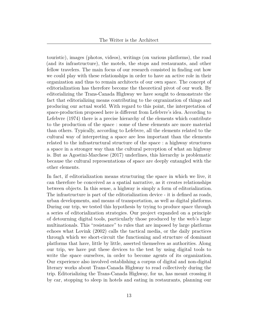touristic), images (photos, videos), writings (on various platforms), the road (and its infrastructure), the motels, the stops and restaurants, and other fellow travelers. The main focus of our research consisted in finding out how we could play with these relationships in order to have an active role in their organization and thus to remain architects of our own space. The concept of editorialization has therefore become the theoretical pivot of our work. By editorializing the Trans-Canada Highway we have sought to demonstrate the fact that editorializing means contributing to the orgranization of things and producing our actual world. With regard to this point, the interpretation of space-production proposed here is different from Lefebvre's idea. According to Lefebvre [\(1974\)](#page-18-5) there is a precise hierarchy of the elements which contribute to the production of the space : some of these elements are more material than others. Typically, according to Lefebvre, all the elements related to the cultural way of interpreting a space are less important than the elements related to the infrastructural structure of the space : a highway structures a space in a stronger way than the cultural perception of what an highway is. But as Agostini-Marchese [\(2017\)](#page-17-8) underlines, this hierarchy is problematic because the cultural representations of space are deeply entangled with the other elements.

In fact, if editorialization means structuring the space in which we live, it can therefore be conceived as a spatial narrative, as it creates relationships between objects. In this sense, a highway is simply a form of editorialization. The infrastructure is part of the editorialization device - it is defined as roads, urban developments, and means of transportation, as well as digital platforms. During our trip, we tested this hypothesis by trying to produce space through a series of editorialization strategies. Our project expanded on a principle of detourning digital tools, particularly those produced by the web's large multinationals. This "resistance" to rules that are imposed by large platforms echoes what Lovink [\(2002\)](#page-18-13) calls the tactical media, or the daily practices through which we short-circuit the functioning and structure of dominant platforms that have, little by little, asserted themselves as authorities. Along our trip, we have put these devices to the test by using digital tools to write the space ourselves, in order to become agents of its organization. Our experience also involved establishing a corpus of digital and non-digital literary works about Trans-Canada Highway to read collectively during the trip. Editorializing the Trans-Canada Highway, for us, has meant crossing it by car, stopping to sleep in hotels and eating in restaurants, planning our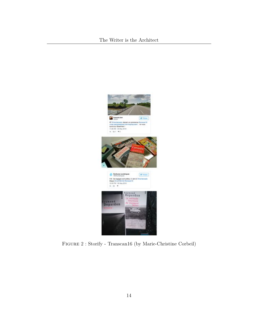

Figure 2 : [Storify - Transcan16 \(by Marie-Christine Corbeil\)](https://storify.com/ENumeriques/epuisement-de-la-transcanadienne)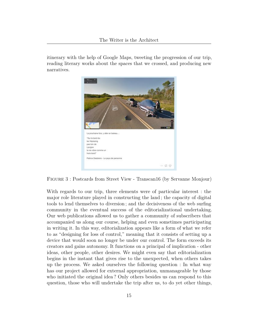itinerary with the help of Google Maps, tweeting the progression of our trip, reading literary works about the spaces that we crossed, and producing new narratives.



Figure 3 : [Postcards from Street View - Transcan16 \(by Servanne Monjour\)](https://transcanproject.tumblr.com)

With regards to our trip, three elements were of particular interest : the major role literature played in constructing the land ; the capacity of digital tools to lend themselves to diversion ; and the decisiveness of the web surfing community in the eventual success of the editorializational undertaking. Our web publications allowed us to gather a community of subscribers that accompanied us along our course, helping and even sometimes participating in writing it. In this way, editorialization appears like a form of what we refer to as "designing for loss of control," meaning that it consists of setting up a device that would soon no longer be under our control. The form exceeds its creators and gains autonomy. It functions on a principal of implication - other ideas, other people, other desires. We might even say that editorialization begins in the instant that gives rise to the unexpected, when others takes up the process. We asked ourselves the following question : In what way has our project allowed for external appropriation, unmanageable by those who initiated the original idea ? Only others besides us can respond to this question, those who will undertake the trip after us, to do yet other things,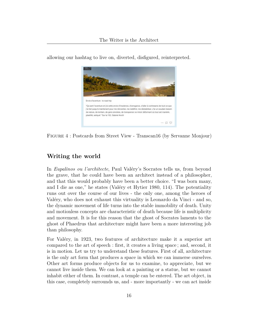

allowing our hashtag to live on, diverted, disfigured, reinterpreted.

Figure 4 : [Postcards from Street View - Transcan16 \(by Servanne Monjour\)](https://transcanproject.tumblr.com)

#### <span id="page-15-0"></span>**Writing the world**

In *Eupalinos ou l'architecte*, Paul Valéry's Socrates tells us, from beyond the grave, that he could have been an architect instead of a philosopher, and that this would probably have been a better choice. "I was born many, and I die as one," he states (Valéry et Hytier [1980,](#page-19-11) 114). The potentiality runs out over the course of our lives - the only one, among the heroes of Valéry, who does not exhaust this virtuality is Leonardo da Vinci - and so, the dynamic movement of life turns into the stable immobility of death. Unity and motionless concepts are characteristic of death because life is multiplicity and movement. It is for this reason that the ghost of Socrates laments to the ghost of Phaedrus that architecture might have been a more interesting job than philosophy.

For Valéry, in 1923, two features of architecture make it a superior art compared to the art of speech : first, it creates a living space ; and, second, it is in motion. Let us try to understand these features. First of all, architecture is the only art form that produces a space in which we can immerse ourselves. Other art forms produce objects for us to examine, to appreciate, but we cannot live inside them. We can look at a painting or a statue, but we cannot inhabit either of them. In contrast, a temple can be entered. The art object, in this case, completely surrounds us, and - more importantly - we can act inside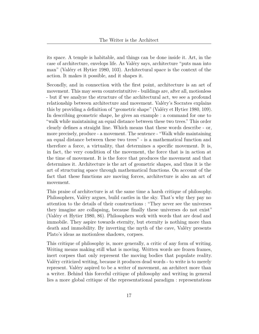its space. A temple is habitable, and things can be done inside it. Art, in the case of architecture, envelops life. As Valéry says, architecture "puts man into man" (Valéry et Hytier [1980,](#page-19-11) 103). Architectural space is the context of the action. It makes it possible, and it shapes it.

Secondly, and in connection with the first point, architecture is an art of movement. This may seem counterintuitive - buildings are, after all, motionless - but if we analyze the structure of the architectural act, we see a profound relationship between architecture and movement. Valéry's Socrates explains this by providing a definition of "geometric shape" (Valéry et Hytier [1980,](#page-19-11) 109). In describing geometric shape, he gives an example : a command for one to "walk while maintaining an equal distance between these two trees." This order clearly defines a straight line. Which means that these words describe - or, more precisely, produce - a movement. The sentence - "Walk while maintaining an equal distance between these two trees" - is a mathematical function and therefore a force, a virtuality, that determines a specific movement. It is, in fact, the very condition of the movement, the force that is in action at the time of movement. It is the force that produces the movement and that determines it. Architecture is the art of geometric shapes, and thus it is the art of structuring space through mathematical functions. On account of the fact that these functions are moving forces, architecture is also an art of movement.

This praise of architecture is at the same time a harsh critique of philosophy. Philosophers, Valéry argues, build castles in the sky. That's why they pay no attention to the details of their constructions : "They never see the universes they imagine are collapsing, because finally these universes do not exist" (Valéry et Hytier [1980,](#page-19-11) 86). Philosophers work with words that are dead and immobile. They aspire towards eternity, but eternity is nothing more than death and immobility. By inverting the myth of the cave, Valéry presents Plato's ideas as motionless shadows, corpses.

This critique of philosophy is, more generally, a critic of any form of writing. Writing means making still what is moving. Written words are frozen frames, inert corpses that only represent the moving bodies that populate reality. Valéry criticized writing, because it produces dead words - to write is to merely represent. Valéry aspired to be a writer of movement, an architect more than a writer. Behind this forceful critique of philosophy and writing in general lies a more global critique of the representational paradigm : representations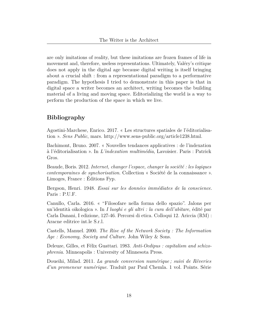are only imitations of reality, but these imitations are frozen frames of life in movement and, therefore, useless representations. Ultimately, Valéry's critique does not apply in the digital age because digital writing is itself bringing about a crucial shift : from a representational paradigm to a performative paradigm. The hypothesis I tried to demonstrate in this paper is that in digital space a writer becomes an architect, writing becomes the building material of a living and moving space. Editorializing the world is a way to perform the production of the space in which we live.

### <span id="page-17-0"></span>**Bibliography**

<span id="page-17-8"></span>Agostini-Marchese, Enrico. 2017. « Les structures spatiales de l'éditorialisation ». *Sens Public*, mars. [http://www.sens-public.org/article1238.html.](http://www.sens-public.org/article1238.html)

<span id="page-17-3"></span>Bachimont, Bruno. 2007. « Nouvelles tendances applicatives : de l'indexation à l'éditorialisation ». In *L'indexation multimédia*, Lavoisier. Paris : Patrick Gros.

<span id="page-17-6"></span>Beaude, Boris. 2012. *Internet, changer l'espace, changer la société : les logiques contemporaines de synchorisation*. Collection « Société de la connaissance ». Limoges, France : Éditions Fyp.

<span id="page-17-1"></span>Bergson, Henri. 1948. *Essai sur les données immédiates de la conscience*. Paris : P.U.F.

<span id="page-17-2"></span>Canullo, Carla. 2016. « "Filosofare nella forma dello spazio". Jalons per un'identità oikologica ». In *I luoghi e gli altri : la cura dell'abitare*, édité par Carla Danani, I edizione, 127-46. Percorsi di etica. Colloqui 12. Ariccia (RM) : Aracne editrice int.le S.r.l.

<span id="page-17-4"></span>Castells, Manuel. 2000. *The Rise of the Network Society : The Information Age : Economy, Society and Culture*. John Wiley & Sons.

<span id="page-17-5"></span>Deleuze, Gilles, et Félix Guattari. 1983. *Anti-Oedipus : capitalism and schizophrenia*. Minneapolis : University of Minnesota Press.

<span id="page-17-7"></span>Doueihi, Milad. 2011. *La grande conversion numérique ; suivi de Rêveries d'un promeneur numérique*. Traduit par Paul Chemla. 1 vol. Points. Série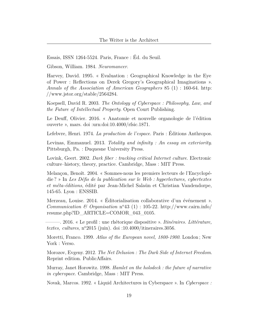Essais, ISSN 1264-5524. Paris, France : Éd. du Seuil.

<span id="page-18-9"></span><span id="page-18-0"></span>Gibson, William. 1984. *Neuromancer*.

Harvey, David. 1995. « Evaluation : Geographical Knowledge in the Eye of Power : Reflections on Derek Gregory's Geographical Imaginations ». *Annals of the Association of American Geographers* 85 (1) : 160-64. [http:](http://www.jstor.org/stable/2564284) [//www.jstor.org/stable/2564284.](http://www.jstor.org/stable/2564284)

<span id="page-18-11"></span>Koepsell, David R. 2003. *The Ontology of Cyberspace : Philosophy, Law, and the Future of Intellectual Property*. Open Court Publishing.

<span id="page-18-7"></span>Le Deuff, Olivier. 2016. « Anatomie et nouvelle organologie de l'édition ouverte », mars. doi [:urn:doi:10.4000/rfsic.1871.](https://doi.org/urn:doi:10.4000/rfsic.1871)

<span id="page-18-5"></span><span id="page-18-3"></span>Lefebvre, Henri. 1974. *La production de l'espace.* Paris : Éditions Anthropos.

Levinas, Emmanuel. 2013. *Totality and infinity : An essay on exteriority*. Pittsburgh, Pa. : Duquesne University Press.

<span id="page-18-13"></span>Lovink, Geert. 2002. *Dark fiber : tracking critical Internet culture*. Electronic culture–history, theory, practice. Cambridge, Mass : MIT Press.

<span id="page-18-12"></span>Melançon, Benoît. 2004. « Sommes-nous les premiers lecteurs de l'Encyclopédie ? » In *Les Défis de la publication sur le Web : hyperlectures, cybertextes et méta-éditions*, édité par Jean-Michel Salaün et Christian Vandendorpe, 145-65. Lyon : ENSSIB.

<span id="page-18-6"></span>Merzeau, Louise. 2014. « Éditorialisation collaborative d'un événement ». *Communication & Organisation*  $n^o43$  (1) : 105-22. [http://www.cairn.info/](http://www.cairn.info/resume.php?ID_ARTICLE=COMOR_043_0105) [resume.php?ID\\_ARTICLE=COMOR\\_043\\_0105.](http://www.cairn.info/resume.php?ID_ARTICLE=COMOR_043_0105)

<span id="page-18-4"></span>———. 2016. « Le profil : une rhétorique dispositive ». *Itinéraires. Littérature, textes, cultures,*  $n^{\circ}2015$  (juin). doi[:10.4000/itineraires.3056.](https://doi.org/10.4000/itineraires.3056)

<span id="page-18-1"></span>Moretti, Franco. 1999. *Atlas of the European novel, 1800-1900*. London ; New York : Verso.

<span id="page-18-2"></span>Morozov, Evgeny. 2012. *The Net Delusion : The Dark Side of Internet Freedom*. Reprint edition. PublicAffairs.

<span id="page-18-8"></span>Murray, Janet Horowitz. 1998. *Hamlet on the holodeck : the future of narrative in cyberspace*. Cambridge, Mass : MIT Press.

<span id="page-18-10"></span>Novak, Marcos. 1992. « Liquid Architectures in Cyberspace ». In *Cyberspace :*